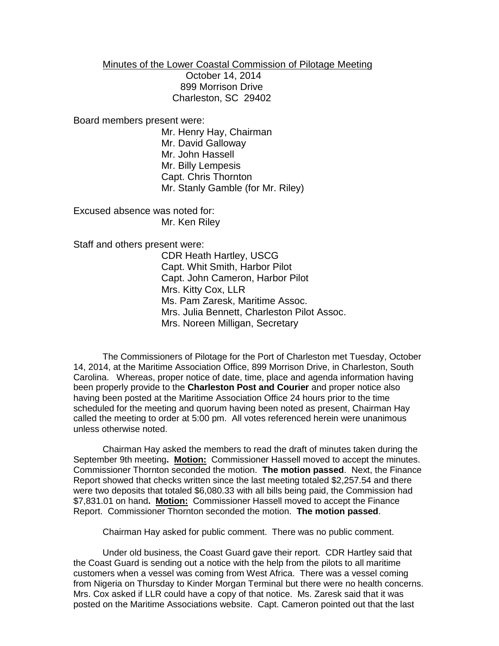Minutes of the Lower Coastal Commission of Pilotage Meeting

 October 14, 2014 899 Morrison Drive Charleston, SC 29402

Board members present were:

Mr. Henry Hay, Chairman Mr. David Galloway Mr. John Hassell Mr. Billy Lempesis Capt. Chris Thornton Mr. Stanly Gamble (for Mr. Riley)

Excused absence was noted for: Mr. Ken Riley

Staff and others present were:

CDR Heath Hartley, USCG Capt. Whit Smith, Harbor Pilot Capt. John Cameron, Harbor Pilot Mrs. Kitty Cox, LLR Ms. Pam Zaresk, Maritime Assoc. Mrs. Julia Bennett, Charleston Pilot Assoc. Mrs. Noreen Milligan, Secretary

The Commissioners of Pilotage for the Port of Charleston met Tuesday, October 14, 2014, at the Maritime Association Office, 899 Morrison Drive, in Charleston, South Carolina. Whereas, proper notice of date, time, place and agenda information having been properly provide to the **Charleston Post and Courier** and proper notice also having been posted at the Maritime Association Office 24 hours prior to the time scheduled for the meeting and quorum having been noted as present, Chairman Hay called the meeting to order at 5:00 pm. All votes referenced herein were unanimous unless otherwise noted.

Chairman Hay asked the members to read the draft of minutes taken during the September 9th meeting**. Motion:** Commissioner Hassell moved to accept the minutes. Commissioner Thornton seconded the motion. **The motion passed**. Next, the Finance Report showed that checks written since the last meeting totaled \$2,257.54 and there were two deposits that totaled \$6,080.33 with all bills being paid, the Commission had \$7,831.01 on hand**. Motion:** Commissioner Hassell moved to accept the Finance Report. Commissioner Thornton seconded the motion. **The motion passed**.

Chairman Hay asked for public comment. There was no public comment.

Under old business, the Coast Guard gave their report. CDR Hartley said that the Coast Guard is sending out a notice with the help from the pilots to all maritime customers when a vessel was coming from West Africa. There was a vessel coming from Nigeria on Thursday to Kinder Morgan Terminal but there were no health concerns. Mrs. Cox asked if LLR could have a copy of that notice. Ms. Zaresk said that it was posted on the Maritime Associations website. Capt. Cameron pointed out that the last